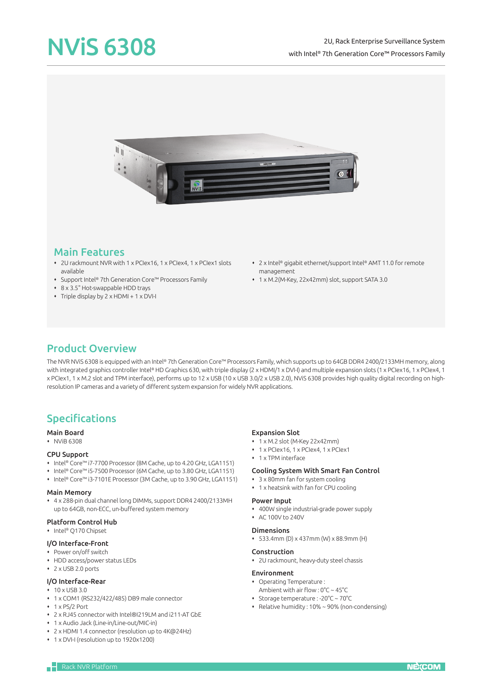

### Main Features

- 2U rackmount NVR with 1 x PCIex16, 1 x PCIex4, 1 x PCIex1 slots available
- Support Intel® 7th Generation Core™ Processors Family
- 8 x 3.5" Hot-swappable HDD trays
- Triple display by 2 x HDMI + 1 x DVI-I
- 2 x Intel® gigabit ethernet/support Intel® AMT 11.0 for remote management
- 1 x M.2(M-Key, 22x42mm) slot, support SATA 3.0

## Product Overview

The NVR NViS 6308 is equipped with an Intel® 7th Generation Core™ Processors Family, which supports up to 64GB DDR4 2400/2133MH memory, along with integrated graphics controller Intel® HD Graphics 630, with triple display (2 x HDMI/1 x DVI-I) and multiple expansion slots (1 x PCIex16, 1 x PCIex4, 1 x PCIex1, 1 x M.2 slot and TPM interface), performs up to 12 x USB (10 x USB 3.0/2 x USB 2.0), NViS 6308 provides high quality digital recording on highresolution IP cameras and a variety of different system expansion for widely NVR applications.

# Specifications

#### Main Board

NViB 6308

#### CPU Support

- Intel® Core™ i7-7700 Processor (8M Cache, up to 4.20 GHz, LGA1151)
- Intel® Core™ i5-7500 Processor (6M Cache, up to 3.80 GHz, LGA1151)
- Intel® Core™ i3-7101E Processor (3M Cache, up to 3.90 GHz, LGA1151)

#### Main Memory

 4 x 288-pin dual channel long DIMMs, support DDR4 2400/2133MH up to 64GB, non-ECC, un-buffered system memory

#### Platform Control Hub

◆ Intel® O170 Chipset

### I/O Interface-Front

- Power on/off switch
- HDD access/power status LEDs
- $\cdot$  2 x USB 2.0 ports

#### I/O Interface-Rear

- 10 x USB 3.0
- 1 x COM1 (RS232/422/485) DB9 male connector
- ◆ 1 x PS/2 Port
- 2 x RJ45 connector with Intel®I219LM and i211-AT GbE
- 1 x Audio Jack (Line-in/Line-out/MIC-in)
- 2 x HDMI 1.4 connector (resolution up to 4K@24Hz)
- 1 x DVI-I (resolution up to 1920x1200)

#### Expansion Slot

- 1 x M.2 slot (M-Key 22x42mm)
- 1 x PCIex16, 1 x PCIex4, 1 x PCIex1
- ◆ 1 x TPM interface

### Cooling System With Smart Fan Control

- 3 x 80mm fan for system cooling
- 1 x heatsink with fan for CPU cooling

#### Power Input

- 400W single industrial-grade power supply
- AC 100V to 240V

#### Dimensions

533.4mm (D) x 437mm (W) x 88.9mm (H)

#### Construction

2U rackmount, heavy-duty steel chassis

#### Environment

- Operating Temperature :
- Ambient with air flow : 0°C ~ 45°C
- Storage temperature : -20°C ~ 70°C
- Relative humidity : 10% ~ 90% (non-condensing)